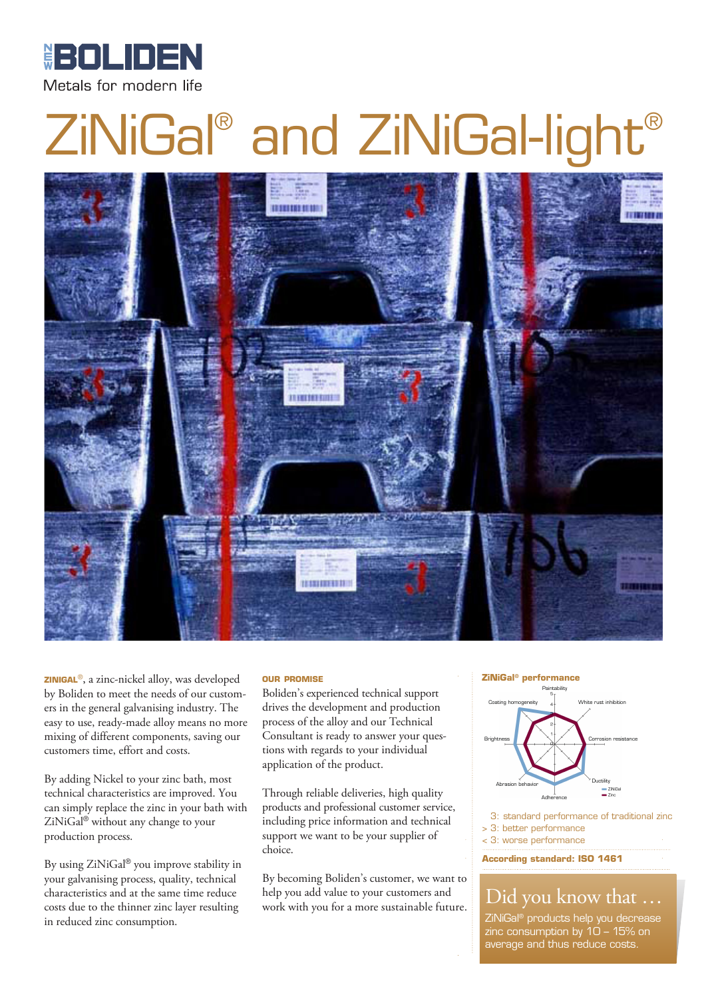

# ZiNiGal® and ZiNiGal-light®



**zinigal**®, a zinc-nickel alloy, was developed by Boliden to meet the needs of our customers in the general galvanising industry. The easy to use, ready-made alloy means no more mixing of different components, saving our customers time, effort and costs.

By adding Nickel to your zinc bath, most technical characteristics are improved. You can simply replace the zinc in your bath with ZiNiGal® without any change to your production process.

By using ZiNiGal® you improve stability in your galvanising process, quality, technical characteristics and at the same time reduce costs due to the thinner zinc layer resulting in reduced zinc consumption.

#### **our promise**

Boliden's experienced technical support drives the development and production process of the alloy and our Technical Consultant is ready to answer your questions with regards to your individual application of the product.

Through reliable deliveries, high quality products and professional customer service, including price information and technical support we want to be your supplier of choice.

By becoming Boliden's customer, we want to help you add value to your customers and work with you for a more sustainable future.

#### **ZiNiGal® performance**



3: standard performance of traditional zinc > 3: better performance

< 3: worse performance

**According standard: ISO 1461**

### Did you know that …

ZiNiGal® products help you decrease zinc consumption by 10 – 15% on average and thus reduce costs.